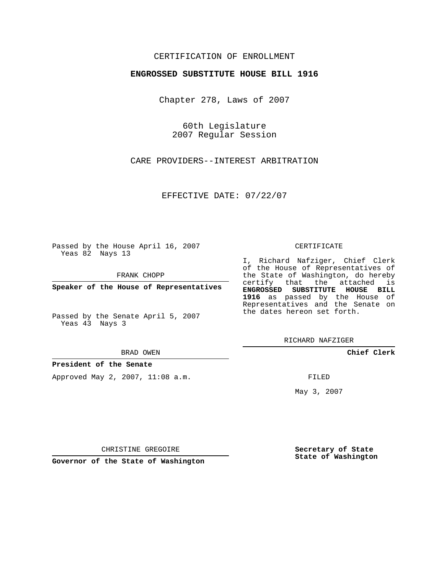## CERTIFICATION OF ENROLLMENT

### **ENGROSSED SUBSTITUTE HOUSE BILL 1916**

Chapter 278, Laws of 2007

60th Legislature 2007 Regular Session

CARE PROVIDERS--INTEREST ARBITRATION

EFFECTIVE DATE: 07/22/07

Passed by the House April 16, 2007 Yeas 82 Nays 13

FRANK CHOPP

**Speaker of the House of Representatives**

Passed by the Senate April 5, 2007 Yeas 43 Nays 3

#### BRAD OWEN

**President of the Senate**

Approved May 2, 2007, 11:08 a.m.

#### CERTIFICATE

I, Richard Nafziger, Chief Clerk of the House of Representatives of the State of Washington, do hereby certify that the attached is **ENGROSSED SUBSTITUTE HOUSE BILL 1916** as passed by the House of Representatives and the Senate on the dates hereon set forth.

RICHARD NAFZIGER

**Chief Clerk**

FILED

May 3, 2007

**Secretary of State State of Washington**

CHRISTINE GREGOIRE

**Governor of the State of Washington**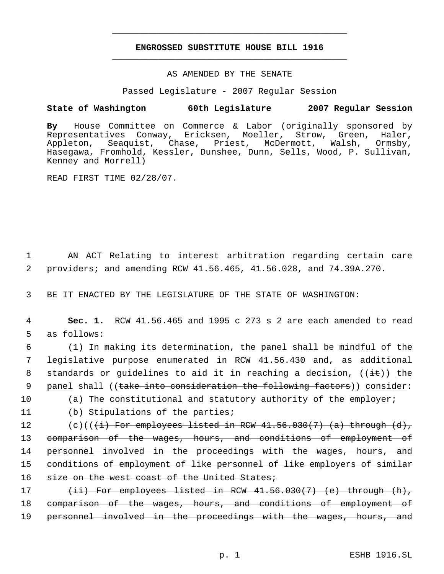# **ENGROSSED SUBSTITUTE HOUSE BILL 1916** \_\_\_\_\_\_\_\_\_\_\_\_\_\_\_\_\_\_\_\_\_\_\_\_\_\_\_\_\_\_\_\_\_\_\_\_\_\_\_\_\_\_\_\_\_

\_\_\_\_\_\_\_\_\_\_\_\_\_\_\_\_\_\_\_\_\_\_\_\_\_\_\_\_\_\_\_\_\_\_\_\_\_\_\_\_\_\_\_\_\_

### AS AMENDED BY THE SENATE

Passed Legislature - 2007 Regular Session

## **State of Washington 60th Legislature 2007 Regular Session**

**By** House Committee on Commerce & Labor (originally sponsored by Representatives Conway, Ericksen, Moeller, Strow, Green, Haler, Appleton, Seaquist, Chase, Priest, McDermott, Walsh, Ormsby, Hasegawa, Fromhold, Kessler, Dunshee, Dunn, Sells, Wood, P. Sullivan, Kenney and Morrell)

READ FIRST TIME 02/28/07.

 1 AN ACT Relating to interest arbitration regarding certain care 2 providers; and amending RCW 41.56.465, 41.56.028, and 74.39A.270.

3 BE IT ENACTED BY THE LEGISLATURE OF THE STATE OF WASHINGTON:

 4 **Sec. 1.** RCW 41.56.465 and 1995 c 273 s 2 are each amended to read 5 as follows:

 6 (1) In making its determination, the panel shall be mindful of the 7 legislative purpose enumerated in RCW 41.56.430 and, as additional 8 standards or guidelines to aid it in reaching a decision,  $((\pm\epsilon))$  the 9 panel shall ((take into consideration the following factors)) consider:

- 10 (a) The constitutional and statutory authority of the employer;
- 

11 (b) Stipulations of the parties;

12  $(c)((\{i\})$  For employees listed in RCW  $41.56.030(7)$  (a) through  $(d)$ , 13 comparison of the wages, hours, and conditions of employment of 14 personnel involved in the proceedings with the wages, hours, and 15 conditions of employment of like personnel of like employers of similar 16 size on the west coast of the United States;

17  $(iii)$  For employees listed in RCW  $41.56.030(7)$  (e) through  $(h)$ , 18 comparison of the wages, hours, and conditions of employment of 19 personnel involved in the proceedings with the wages, hours, and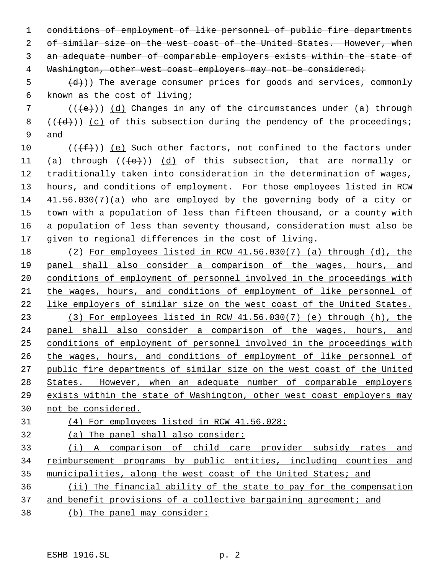conditions of employment of like personnel of public fire departments 2 of similar size on the west coast of the United States. However, when an adequate number of comparable employers exists within the state of 4 Washington, other west coast employers may not be considered;

 $\{d\}$ )) The average consumer prices for goods and services, commonly known as the cost of living;

 $((\{e\})$  (d) Changes in any of the circumstances under (a) through 8  $((\{d\})$  (c) of this subsection during the pendency of the proceedings; and

 $((\text{#}))$  (e) Such other factors, not confined to the factors under 11 (a) through  $((e))$  (d) of this subsection, that are normally or traditionally taken into consideration in the determination of wages, hours, and conditions of employment. For those employees listed in RCW 41.56.030(7)(a) who are employed by the governing body of a city or town with a population of less than fifteen thousand, or a county with a population of less than seventy thousand, consideration must also be given to regional differences in the cost of living.

 (2) For employees listed in RCW 41.56.030(7) (a) through (d), the panel shall also consider a comparison of the wages, hours, and conditions of employment of personnel involved in the proceedings with the wages, hours, and conditions of employment of like personnel of like employers of similar size on the west coast of the United States. (3) For employees listed in RCW 41.56.030(7) (e) through (h), the panel shall also consider a comparison of the wages, hours, and conditions of employment of personnel involved in the proceedings with the wages, hours, and conditions of employment of like personnel of public fire departments of similar size on the west coast of the United 28 States. However, when an adequate number of comparable employers exists within the state of Washington, other west coast employers may not be considered.

(4) For employees listed in RCW 41.56.028:

(a) The panel shall also consider:

 (i) A comparison of child care provider subsidy rates and 34 reimbursement programs by public entities, including counties and municipalities, along the west coast of the United States; and

 (ii) The financial ability of the state to pay for the compensation and benefit provisions of a collective bargaining agreement; and

(b) The panel may consider: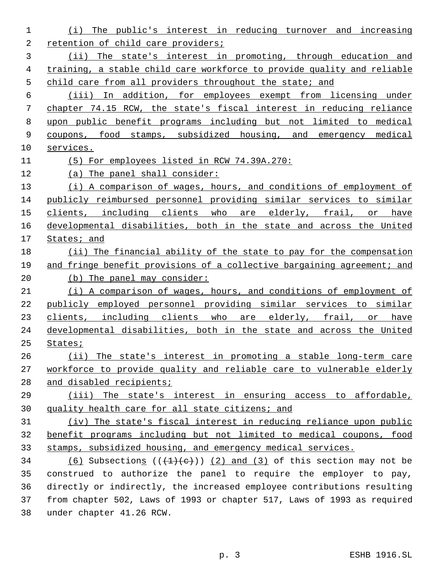(i) The public's interest in reducing turnover and increasing 2 retention of child care providers; (ii) The state's interest in promoting, through education and training, a stable child care workforce to provide quality and reliable 5 child care from all providers throughout the state; and (iii) In addition, for employees exempt from licensing under chapter 74.15 RCW, the state's fiscal interest in reducing reliance upon public benefit programs including but not limited to medical coupons, food stamps, subsidized housing, and emergency medical services. (5) For employees listed in RCW 74.39A.270: (a) The panel shall consider: 13 (i) A comparison of wages, hours, and conditions of employment of publicly reimbursed personnel providing similar services to similar 15 clients, including clients who are elderly, frail, or have developmental disabilities, both in the state and across the United States; and (ii) The financial ability of the state to pay for the compensation 19 and fringe benefit provisions of a collective bargaining agreement; and 20 (b) The panel may consider: (i) A comparison of wages, hours, and conditions of employment of publicly employed personnel providing similar services to similar 23 clients, including clients who are elderly, frail, or have developmental disabilities, both in the state and across the United States; (ii) The state's interest in promoting a stable long-term care workforce to provide quality and reliable care to vulnerable elderly 28 and disabled recipients; (iii) The state's interest in ensuring access to affordable, quality health care for all state citizens; and (iv) The state's fiscal interest in reducing reliance upon public benefit programs including but not limited to medical coupons, food stamps, subsidized housing, and emergency medical services. 34 (6) Subsections  $((+1)(e))$  (2) and (3) of this section may not be construed to authorize the panel to require the employer to pay, directly or indirectly, the increased employee contributions resulting from chapter 502, Laws of 1993 or chapter 517, Laws of 1993 as required under chapter 41.26 RCW.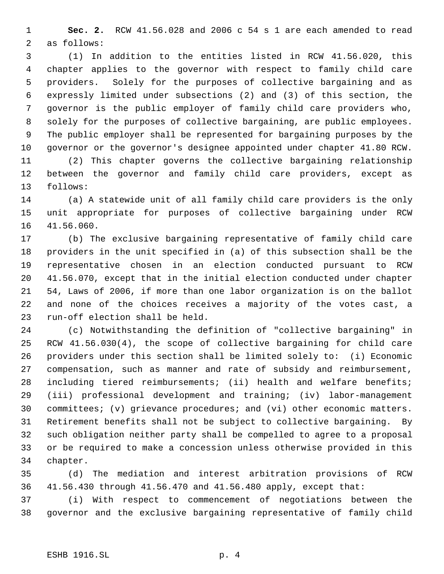**Sec. 2.** RCW 41.56.028 and 2006 c 54 s 1 are each amended to read as follows:

 (1) In addition to the entities listed in RCW 41.56.020, this chapter applies to the governor with respect to family child care providers. Solely for the purposes of collective bargaining and as expressly limited under subsections (2) and (3) of this section, the governor is the public employer of family child care providers who, solely for the purposes of collective bargaining, are public employees. The public employer shall be represented for bargaining purposes by the governor or the governor's designee appointed under chapter 41.80 RCW.

 (2) This chapter governs the collective bargaining relationship between the governor and family child care providers, except as follows:

 (a) A statewide unit of all family child care providers is the only unit appropriate for purposes of collective bargaining under RCW 41.56.060.

 (b) The exclusive bargaining representative of family child care providers in the unit specified in (a) of this subsection shall be the representative chosen in an election conducted pursuant to RCW 41.56.070, except that in the initial election conducted under chapter 54, Laws of 2006, if more than one labor organization is on the ballot and none of the choices receives a majority of the votes cast, a run-off election shall be held.

 (c) Notwithstanding the definition of "collective bargaining" in RCW 41.56.030(4), the scope of collective bargaining for child care providers under this section shall be limited solely to: (i) Economic compensation, such as manner and rate of subsidy and reimbursement, including tiered reimbursements; (ii) health and welfare benefits; (iii) professional development and training; (iv) labor-management committees; (v) grievance procedures; and (vi) other economic matters. Retirement benefits shall not be subject to collective bargaining. By such obligation neither party shall be compelled to agree to a proposal or be required to make a concession unless otherwise provided in this chapter.

 (d) The mediation and interest arbitration provisions of RCW 41.56.430 through 41.56.470 and 41.56.480 apply, except that:

 (i) With respect to commencement of negotiations between the governor and the exclusive bargaining representative of family child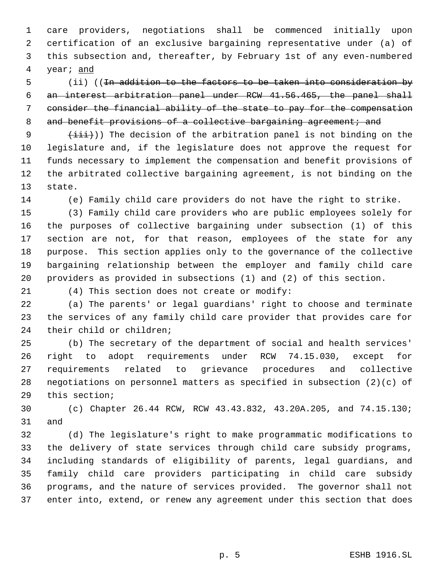care providers, negotiations shall be commenced initially upon certification of an exclusive bargaining representative under (a) of this subsection and, thereafter, by February 1st of any even-numbered year; and

 (ii) ((In addition to the factors to be taken into consideration by an interest arbitration panel under RCW 41.56.465, the panel shall consider the financial ability of the state to pay for the compensation 8 and benefit provisions of a collective bargaining agreement; and

 $(iii)$ ) The decision of the arbitration panel is not binding on the legislature and, if the legislature does not approve the request for funds necessary to implement the compensation and benefit provisions of the arbitrated collective bargaining agreement, is not binding on the state.

(e) Family child care providers do not have the right to strike.

 (3) Family child care providers who are public employees solely for the purposes of collective bargaining under subsection (1) of this section are not, for that reason, employees of the state for any purpose. This section applies only to the governance of the collective bargaining relationship between the employer and family child care providers as provided in subsections (1) and (2) of this section.

(4) This section does not create or modify:

 (a) The parents' or legal guardians' right to choose and terminate the services of any family child care provider that provides care for their child or children;

 (b) The secretary of the department of social and health services' right to adopt requirements under RCW 74.15.030, except for requirements related to grievance procedures and collective negotiations on personnel matters as specified in subsection (2)(c) of this section;

 (c) Chapter 26.44 RCW, RCW 43.43.832, 43.20A.205, and 74.15.130; and

 (d) The legislature's right to make programmatic modifications to the delivery of state services through child care subsidy programs, including standards of eligibility of parents, legal guardians, and family child care providers participating in child care subsidy programs, and the nature of services provided. The governor shall not enter into, extend, or renew any agreement under this section that does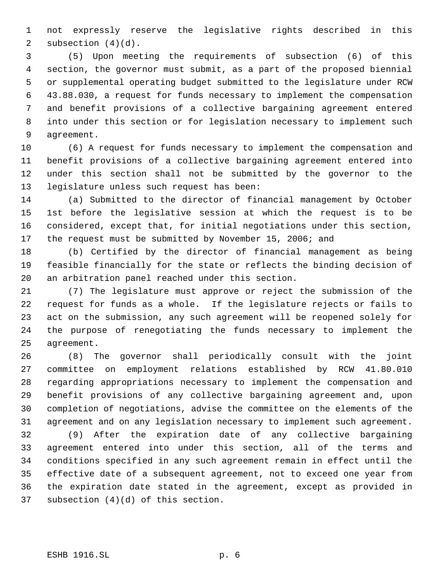not expressly reserve the legislative rights described in this subsection (4)(d).

 (5) Upon meeting the requirements of subsection (6) of this section, the governor must submit, as a part of the proposed biennial or supplemental operating budget submitted to the legislature under RCW 43.88.030, a request for funds necessary to implement the compensation and benefit provisions of a collective bargaining agreement entered into under this section or for legislation necessary to implement such agreement.

 (6) A request for funds necessary to implement the compensation and benefit provisions of a collective bargaining agreement entered into under this section shall not be submitted by the governor to the legislature unless such request has been:

 (a) Submitted to the director of financial management by October 1st before the legislative session at which the request is to be considered, except that, for initial negotiations under this section, the request must be submitted by November 15, 2006; and

 (b) Certified by the director of financial management as being feasible financially for the state or reflects the binding decision of an arbitration panel reached under this section.

 (7) The legislature must approve or reject the submission of the request for funds as a whole. If the legislature rejects or fails to act on the submission, any such agreement will be reopened solely for the purpose of renegotiating the funds necessary to implement the agreement.

 (8) The governor shall periodically consult with the joint committee on employment relations established by RCW 41.80.010 regarding appropriations necessary to implement the compensation and benefit provisions of any collective bargaining agreement and, upon completion of negotiations, advise the committee on the elements of the agreement and on any legislation necessary to implement such agreement.

 (9) After the expiration date of any collective bargaining agreement entered into under this section, all of the terms and conditions specified in any such agreement remain in effect until the effective date of a subsequent agreement, not to exceed one year from the expiration date stated in the agreement, except as provided in subsection (4)(d) of this section.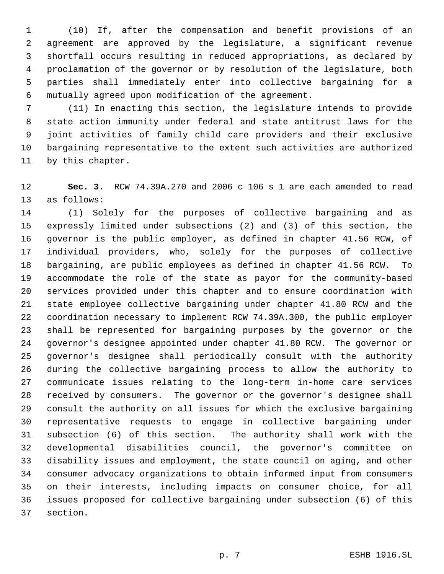(10) If, after the compensation and benefit provisions of an agreement are approved by the legislature, a significant revenue shortfall occurs resulting in reduced appropriations, as declared by proclamation of the governor or by resolution of the legislature, both parties shall immediately enter into collective bargaining for a mutually agreed upon modification of the agreement.

 (11) In enacting this section, the legislature intends to provide state action immunity under federal and state antitrust laws for the joint activities of family child care providers and their exclusive bargaining representative to the extent such activities are authorized by this chapter.

 **Sec. 3.** RCW 74.39A.270 and 2006 c 106 s 1 are each amended to read as follows:

 (1) Solely for the purposes of collective bargaining and as expressly limited under subsections (2) and (3) of this section, the governor is the public employer, as defined in chapter 41.56 RCW, of individual providers, who, solely for the purposes of collective bargaining, are public employees as defined in chapter 41.56 RCW. To accommodate the role of the state as payor for the community-based services provided under this chapter and to ensure coordination with state employee collective bargaining under chapter 41.80 RCW and the coordination necessary to implement RCW 74.39A.300, the public employer shall be represented for bargaining purposes by the governor or the governor's designee appointed under chapter 41.80 RCW. The governor or governor's designee shall periodically consult with the authority during the collective bargaining process to allow the authority to communicate issues relating to the long-term in-home care services received by consumers. The governor or the governor's designee shall consult the authority on all issues for which the exclusive bargaining representative requests to engage in collective bargaining under subsection (6) of this section. The authority shall work with the developmental disabilities council, the governor's committee on disability issues and employment, the state council on aging, and other consumer advocacy organizations to obtain informed input from consumers on their interests, including impacts on consumer choice, for all issues proposed for collective bargaining under subsection (6) of this section.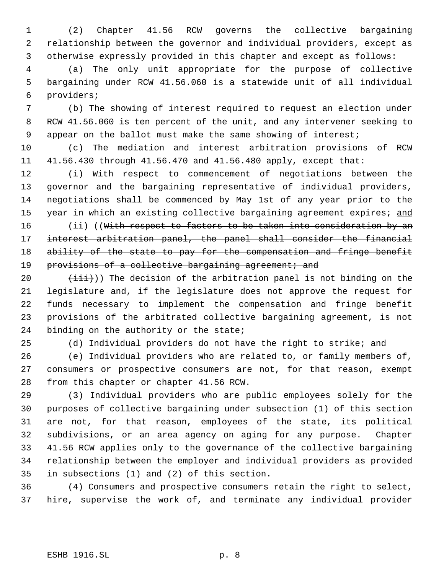(2) Chapter 41.56 RCW governs the collective bargaining relationship between the governor and individual providers, except as otherwise expressly provided in this chapter and except as follows:

 (a) The only unit appropriate for the purpose of collective bargaining under RCW 41.56.060 is a statewide unit of all individual providers;

 (b) The showing of interest required to request an election under RCW 41.56.060 is ten percent of the unit, and any intervener seeking to 9 appear on the ballot must make the same showing of interest;

 (c) The mediation and interest arbitration provisions of RCW 41.56.430 through 41.56.470 and 41.56.480 apply, except that:

 (i) With respect to commencement of negotiations between the governor and the bargaining representative of individual providers, negotiations shall be commenced by May 1st of any year prior to the 15 year in which an existing collective bargaining agreement expires; and

16 (ii) ((With respect to factors to be taken into consideration by an interest arbitration panel, the panel shall consider the financial 18 ability of the state to pay for the compensation and fringe benefit 19 provisions of a collective bargaining agreement; and

 $(iii)$ ) The decision of the arbitration panel is not binding on the legislature and, if the legislature does not approve the request for funds necessary to implement the compensation and fringe benefit provisions of the arbitrated collective bargaining agreement, is not 24 binding on the authority or the state;

(d) Individual providers do not have the right to strike; and

 (e) Individual providers who are related to, or family members of, consumers or prospective consumers are not, for that reason, exempt from this chapter or chapter 41.56 RCW.

 (3) Individual providers who are public employees solely for the purposes of collective bargaining under subsection (1) of this section are not, for that reason, employees of the state, its political subdivisions, or an area agency on aging for any purpose. Chapter 41.56 RCW applies only to the governance of the collective bargaining relationship between the employer and individual providers as provided in subsections (1) and (2) of this section.

 (4) Consumers and prospective consumers retain the right to select, hire, supervise the work of, and terminate any individual provider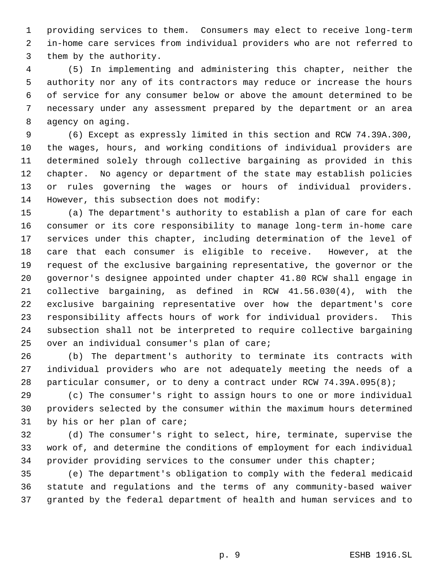providing services to them. Consumers may elect to receive long-term in-home care services from individual providers who are not referred to them by the authority.

 (5) In implementing and administering this chapter, neither the authority nor any of its contractors may reduce or increase the hours of service for any consumer below or above the amount determined to be necessary under any assessment prepared by the department or an area agency on aging.

 (6) Except as expressly limited in this section and RCW 74.39A.300, the wages, hours, and working conditions of individual providers are determined solely through collective bargaining as provided in this chapter. No agency or department of the state may establish policies or rules governing the wages or hours of individual providers. However, this subsection does not modify:

 (a) The department's authority to establish a plan of care for each consumer or its core responsibility to manage long-term in-home care services under this chapter, including determination of the level of care that each consumer is eligible to receive. However, at the request of the exclusive bargaining representative, the governor or the governor's designee appointed under chapter 41.80 RCW shall engage in collective bargaining, as defined in RCW 41.56.030(4), with the exclusive bargaining representative over how the department's core responsibility affects hours of work for individual providers. This subsection shall not be interpreted to require collective bargaining over an individual consumer's plan of care;

 (b) The department's authority to terminate its contracts with individual providers who are not adequately meeting the needs of a particular consumer, or to deny a contract under RCW 74.39A.095(8);

 (c) The consumer's right to assign hours to one or more individual providers selected by the consumer within the maximum hours determined by his or her plan of care;

 (d) The consumer's right to select, hire, terminate, supervise the work of, and determine the conditions of employment for each individual provider providing services to the consumer under this chapter;

 (e) The department's obligation to comply with the federal medicaid statute and regulations and the terms of any community-based waiver granted by the federal department of health and human services and to